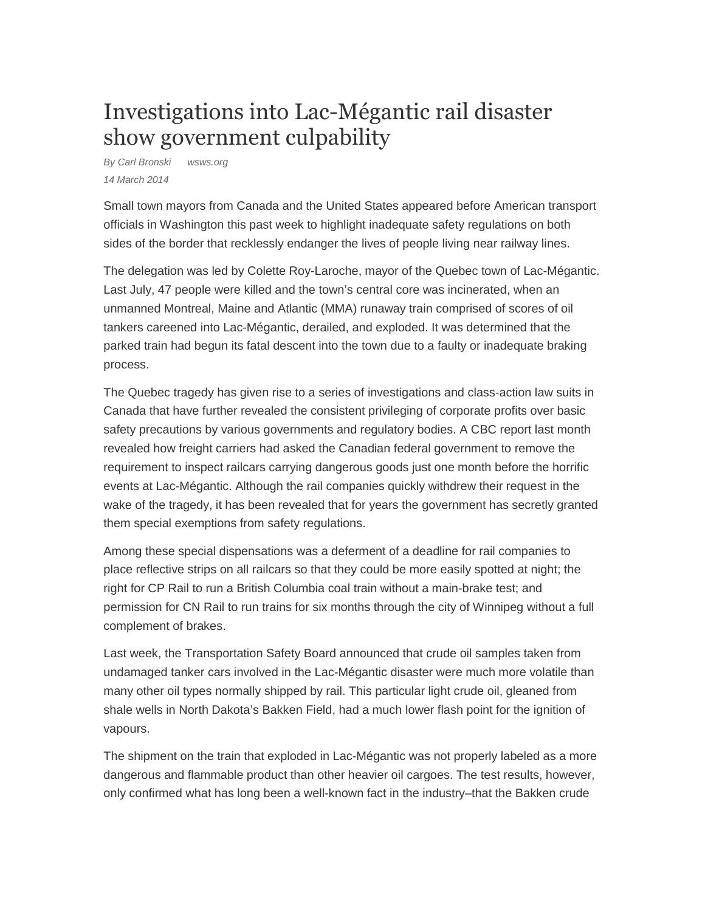## Investigations into Lac-Mégantic rail disaster show government culpability

By Carl Bronski wsws.org 14 March 2014

Small town mayors from Canada and the United States appeared before American transport officials in Washington this past week to highlight inadequate safety regulations on both sides of the border that recklessly endanger the lives of people living near railway lines.

The delegation was led by Colette Roy-Laroche, mayor of the Quebec town of Lac-Mégantic. Last July, 47 people were killed and the town's central core was incinerated, when an unmanned Montreal, Maine and Atlantic (MMA) runaway train comprised of scores of oil tankers careened into Lac-Mégantic, derailed, and exploded. It was determined that the parked train had begun its fatal descent into the town due to a faulty or inadequate braking process.

The Quebec tragedy has given rise to a series of investigations and class-action law suits in Canada that have further revealed the consistent privileging of corporate profits over basic safety precautions by various governments and regulatory bodies. A CBC report last month revealed how freight carriers had asked the Canadian federal government to remove the requirement to inspect railcars carrying dangerous goods just one month before the horrific events at Lac-Mégantic. Although the rail companies quickly withdrew their request in the wake of the tragedy, it has been revealed that for years the government has secretly granted them special exemptions from safety regulations.

Among these special dispensations was a deferment of a deadline for rail companies to place reflective strips on all railcars so that they could be more easily spotted at night; the right for CP Rail to run a British Columbia coal train without a main-brake test; and permission for CN Rail to run trains for six months through the city of Winnipeg without a full complement of brakes.

Last week, the Transportation Safety Board announced that crude oil samples taken from undamaged tanker cars involved in the Lac-Mégantic disaster were much more volatile than many other oil types normally shipped by rail. This particular light crude oil, gleaned from shale wells in North Dakota's Bakken Field, had a much lower flash point for the ignition of vapours.

The shipment on the train that exploded in Lac-Mégantic was not properly labeled as a more dangerous and flammable product than other heavier oil cargoes. The test results, however, only confirmed what has long been a well-known fact in the industry–that the Bakken crude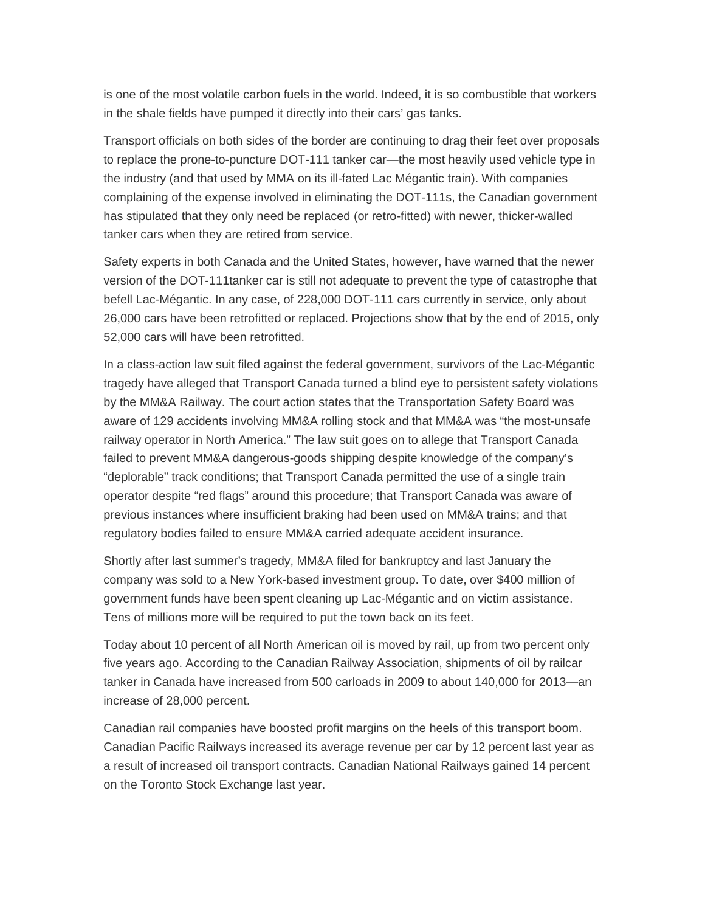is one of the most volatile carbon fuels in the world. Indeed, it is so combustible that workers in the shale fields have pumped it directly into their cars' gas tanks.

Transport officials on both sides of the border are continuing to drag their feet over proposals to replace the prone-to-puncture DOT-111 tanker car—the most heavily used vehicle type in the industry (and that used by MMA on its ill-fated Lac Mégantic train). With companies complaining of the expense involved in eliminating the DOT-111s, the Canadian government has stipulated that they only need be replaced (or retro-fitted) with newer, thicker-walled tanker cars when they are retired from service.

Safety experts in both Canada and the United States, however, have warned that the newer version of the DOT-111tanker car is still not adequate to prevent the type of catastrophe that befell Lac-Mégantic. In any case, of 228,000 DOT-111 cars currently in service, only about 26,000 cars have been retrofitted or replaced. Projections show that by the end of 2015, only 52,000 cars will have been retrofitted.

In a class-action law suit filed against the federal government, survivors of the Lac-Mégantic tragedy have alleged that Transport Canada turned a blind eye to persistent safety violations by the MM&A Railway. The court action states that the Transportation Safety Board was aware of 129 accidents involving MM&A rolling stock and that MM&A was "the most-unsafe railway operator in North America." The law suit goes on to allege that Transport Canada failed to prevent MM&A dangerous-goods shipping despite knowledge of the company's "deplorable" track conditions; that Transport Canada permitted the use of a single train operator despite "red flags" around this procedure; that Transport Canada was aware of previous instances where insufficient braking had been used on MM&A trains; and that regulatory bodies failed to ensure MM&A carried adequate accident insurance.

Shortly after last summer's tragedy, MM&A filed for bankruptcy and last January the company was sold to a New York-based investment group. To date, over \$400 million of government funds have been spent cleaning up Lac-Mégantic and on victim assistance. Tens of millions more will be required to put the town back on its feet.

Today about 10 percent of all North American oil is moved by rail, up from two percent only five years ago. According to the Canadian Railway Association, shipments of oil by railcar tanker in Canada have increased from 500 carloads in 2009 to about 140,000 for 2013—an increase of 28,000 percent.

Canadian rail companies have boosted profit margins on the heels of this transport boom. Canadian Pacific Railways increased its average revenue per car by 12 percent last year as a result of increased oil transport contracts. Canadian National Railways gained 14 percent on the Toronto Stock Exchange last year.